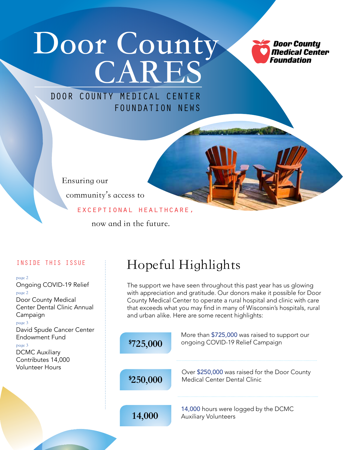# **Door County CARES**

**Door County Medical Center** Foundation

### DOOR COUNTY MEDICAL CENTER FOUNDATION NEWS

Ensuring our community's access to

#### exceptional healthcare,

now and in the future.

#### INSIDE THIS ISSUE

#### page 2

Ongoing COVID-19 Relief page 2 Door County Medical Center Dental Clinic Annual Campaign page 3 David Spude Cancer Center Endowment Fund page 3 DCMC Auxiliary Contributes 14,000 Volunteer Hours

## Hopeful Highlights

The support we have seen throughout this past year has us glowing with appreciation and gratitude. Our donors make it possible for Door County Medical Center to operate a rural hospital and clinic with care that exceeds what you may find in many of Wisconsin's hospitals, rural and urban alike. Here are some recent highlights:

| \$725,000 | More than \$725,000 was raised to support our<br>ongoing COVID-19 Relief Campaign |
|-----------|-----------------------------------------------------------------------------------|
| \$250,000 | Over \$250,000 was raised for the Door County<br>Medical Center Dental Clinic     |
| 14,000    | 14,000 hours were logged by the DCMC<br><b>Auxiliary Volunteers</b>               |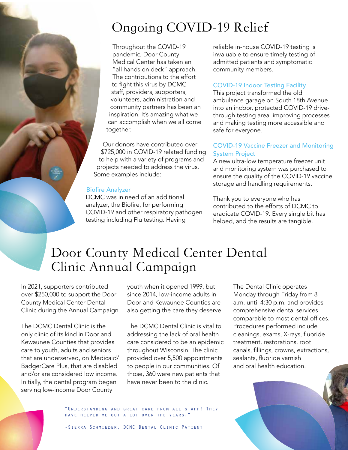## Ongoing COVID-19 Relief

Throughout the COVID-19 pandemic, Door County Medical Center has taken an "all hands on deck" approach. The contributions to the effort to fight this virus by DCMC staff, providers, supporters, volunteers, administration and community partners has been an inspiration. It's amazing what we can accomplish when we all come together.

Our donors have contributed over \$725,000 in COVID-19 related funding to help with a variety of programs and projects needed to address the virus. Some examples include:

#### Biofire Analyzer

DCMC was in need of an additional analyzer, the Biofire, for performing COVID-19 and other respiratory pathogen testing including Flu testing. Having

reliable in-house COVID-19 testing is invaluable to ensure timely testing of admitted patients and symptomatic community members.

#### COVID-19 Indoor Testing Facility

This project transformed the old ambulance garage on South 18th Avenue into an indoor, protected COVID-19 drivethrough testing area, improving processes and making testing more accessible and safe for everyone.

#### COVID-19 Vaccine Freezer and Monitoring System Project

A new ultra-low temperature freezer unit and monitoring system was purchased to ensure the quality of the COVID-19 vaccine storage and handling requirements.

Thank you to everyone who has contributed to the efforts of DCMC to eradicate COVID-19. Every single bit has helped, and the results are tangible.

### Door County Medical Center Dental Clinic Annual Campaign

In 2021, supporters contributed over \$250,000 to support the Door County Medical Center Dental Clinic during the Annual Campaign.

The DCMC Dental Clinic is the only clinic of its kind in Door and Kewaunee Counties that provides care to youth, adults and seniors that are underserved, on Medicaid/ BadgerCare Plus, that are disabled and/or are considered low income. Initially, the dental program began serving low-income Door County

youth when it opened 1999, but since 2014, low-income adults in Door and Kewaunee Counties are also getting the care they deserve.

The DCMC Dental Clinic is vital to addressing the lack of oral health care considered to be an epidemic throughout Wisconsin. The clinic provided over 5,500 appointments to people in our communities. Of those, 360 were new patients that have never been to the clinic.

The Dental Clinic operates Monday through Friday from 8 a.m. until 4:30 p.m. and provides comprehensive dental services comparable to most dental offices. Procedures performed include cleanings, exams, X-rays, fluoride treatment, restorations, root canals, fillings, crowns, extractions, sealants, fluoride varnish and oral health education.



"Understanding and great care from all staff! They have helped me out a lot over the years."

-Sierra Schmieder, DCMC Dental Clinic Patient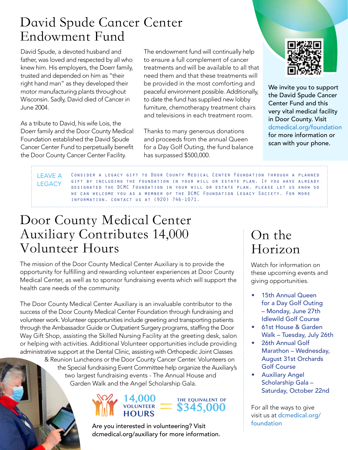### David Spude Cancer Center Endowment Fund

David Spude, a devoted husband and father, was loved and respected by all who knew him. His employers, the Doerr family, trusted and depended on him as "their right hand man" as they developed their motor manufacturing plants throughout Wisconsin. Sadly, David died of Cancer in June 2004.

As a tribute to David, his wife Lois, the Doerr family and the Door County Medical Foundation established the David Spude Cancer Center Fund to perpetually benefit the Door County Cancer Center Facility.

The endowment fund will continually help to ensure a full complement of cancer treatments and will be available to all that need them and that these treatments will be provided in the most comforting and peaceful environment possible. Additionally, to date the fund has supplied new lobby furniture, chemotherapy treatment chairs and televisions in each treatment room.

Thanks to many generous donations and proceeds from the annual Queen for a Day Golf Outing, the fund balance has surpassed \$500,000.



We invite you to support the David Spude Cancer Center Fund and this very vital medical facility in Door County. Visit dcmedical.org/foundation for more information or scan with your phone.

Consider a legacy gift to Door County Medical Center Foundation through a planned gift by including the foundation in your will or estate plan. If you have already designated the DCMC Foundation in your will or estate plan, please let us know so we can welcome you as a member of the DCMC Foundation Legacy Society. For more information, contact us at (920) 746-1071. LEAVE A **LEGACY** 

### Door County Medical Center Auxiliary Contributes 14,000 Volunteer Hours

The mission of the Door County Medical Center Auxiliary is to provide the opportunity for fulfilling and rewarding volunteer experiences at Door County Medical Center, as well as to sponsor fundraising events which will support the health care needs of the community.

The Door County Medical Center Auxiliary is an invaluable contributor to the success of the Door County Medical Center Foundation through fundraising and volunteer work. Volunteer opportunities include greeting and transporting patients through the Ambassador Guide or Outpatient Surgery programs, staffing the Door Way Gift Shop, assisting the Skilled Nursing Facility at the greeting desk, salon or helping with activities. Additional Volunteer opportunities include providing administrative support at the Dental Clinic, assisting with Orthopedic Joint Classes

> & Reunion Luncheons or the Door County Cancer Center. Volunteers on the Special fundraising Event Committee help organize the Auxiliary's two largest fundraising events - The Annual House and Garden Walk and the Angel Scholarship Gala.

#### **14,000 VOLUNTEER HOURS EXERGALLENT OF**<br>
\$345,000 **THE EQUIVALENT OF**

Are you interested in volunteering? Visit dcmedical.org/auxiliary for more information.

### On the Horizon

Watch for information on these upcoming events and giving opportunities.

- 15th Annual Queen for a Day Golf Outing – Monday, June 27th Idlewild Golf Course
- 61st House & Garden Walk – Tuesday, July 26th
- 26th Annual Golf Marathon – Wednesday, August 31st Orchards Golf Course
- Auxiliary Angel Scholarship Gala – Saturday, October 22nd

For all the ways to give visit us at dcmedical.org/ foundation